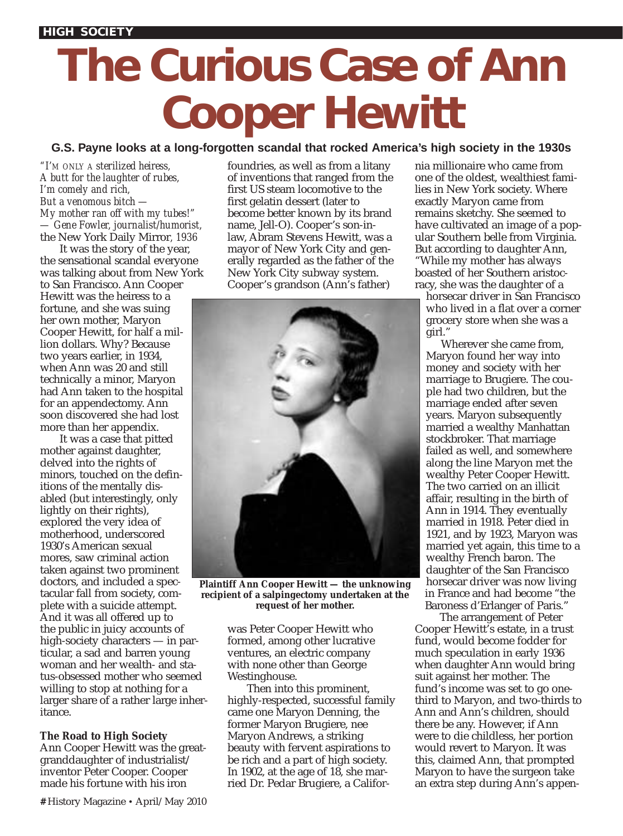# **The Curious Case of Ann Cooper Hewitt**

## **G.S. Payne looks at a long-forgotten scandal that rocked America's high society in the 1930s**

*"I'M ONLY A sterilized heiress, A butt for the laughter of rubes, I'm comely and rich, But a venomous bitch — My mother ran off with my tubes!" — Gene Fowler, journalist/humorist,* the New York Daily Mirror*, 1936*

It was the story of the year, the sensational scandal everyone was talking about from New York to San Francisco. Ann Cooper Hewitt was the heiress to a fortune, and she was suing her own mother, Maryon Cooper Hewitt, for half a million dollars. Why? Because two years earlier, in 1934, when Ann was 20 and still technically a minor, Maryon had Ann taken to the hospital for an appendectomy. Ann soon discovered she had lost more than her appendix.

It was a case that pitted mother against daughter, delved into the rights of minors, touched on the definitions of the mentally disabled (but interestingly, only lightly on their rights), explored the very idea of motherhood, underscored 1930's American sexual mores, saw criminal action taken against two prominent doctors, and included a spectacular fall from society, complete with a suicide attempt. And it was all offered up to the public in juicy accounts of high-society characters — in particular, a sad and barren young woman and her wealth- and status-obsessed mother who seemed willing to stop at nothing for a larger share of a rather large inheritance.

## **The Road to High Society**

Ann Cooper Hewitt was the greatgranddaughter of industrialist/ inventor Peter Cooper. Cooper made his fortune with his iron

foundries, as well as from a litany of inventions that ranged from the first US steam locomotive to the first gelatin dessert (later to become better known by its brand name, Jell-O). Cooper's son-inlaw, Abram Stevens Hewitt, was a mayor of New York City and generally regarded as the father of the New York City subway system. Cooper's grandson (Ann's father)



**Plaintiff Ann Cooper Hewitt — the unknowing recipient of a salpingectomy undertaken at the request of her mother.**

was Peter Cooper Hewitt who formed, among other lucrative ventures, an electric company with none other than George Westinghouse.

Then into this prominent, highly-respected, successful family came one Maryon Denning, the former Maryon Brugiere, nee Maryon Andrews, a striking beauty with fervent aspirations to be rich and a part of high society. In 1902, at the age of 18, she married Dr. Pedar Brugiere, a California millionaire who came from one of the oldest, wealthiest families in New York society. Where exactly Maryon came from remains sketchy. She seemed to have cultivated an image of a popular Southern belle from Virginia. But according to daughter Ann, "While my mother has always boasted of her Southern aristocracy, she was the daughter of a

horsecar driver in San Francisco who lived in a flat over a corner grocery store when she was a girl."

Wherever she came from, Maryon found her way into money and society with her marriage to Brugiere. The couple had two children, but the marriage ended after seven years. Maryon subsequently married a wealthy Manhattan stockbroker. That marriage failed as well, and somewhere along the line Maryon met the wealthy Peter Cooper Hewitt. The two carried on an illicit affair, resulting in the birth of Ann in 1914. They eventually married in 1918. Peter died in 1921, and by 1923, Maryon was married yet again, this time to a wealthy French baron. The daughter of the San Francisco horsecar driver was now living in France and had become "the Baroness d'Erlanger of Paris."

The arrangement of Peter Cooper Hewitt's estate, in a trust fund, would become fodder for much speculation in early 1936 when daughter Ann would bring suit against her mother. The fund's income was set to go onethird to Maryon, and two-thirds to Ann and Ann's children, should there be any. However, if Ann were to die childless, her portion would revert to Maryon. It was this, claimed Ann, that prompted Maryon to have the surgeon take an extra step during Ann's appen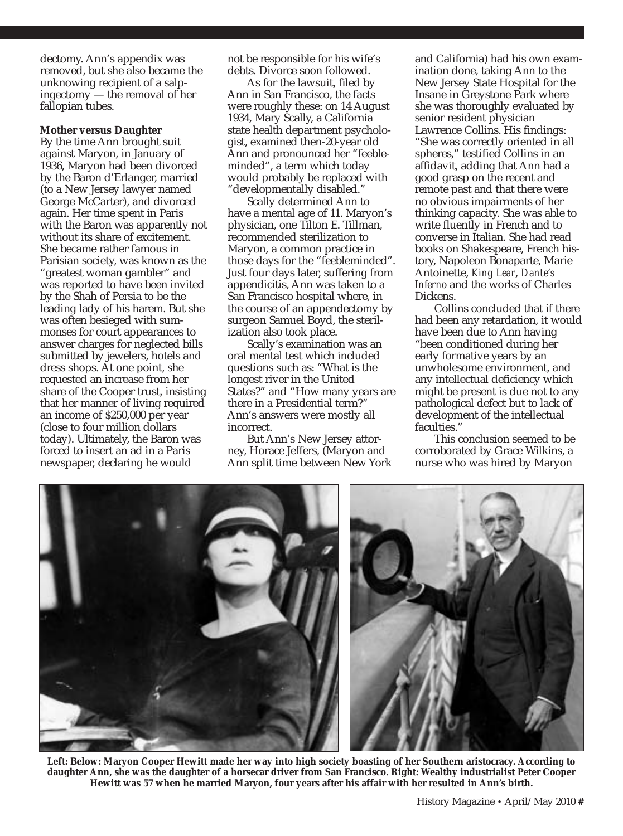dectomy. Ann's appendix was removed, but she also became the unknowing recipient of a salpingectomy — the removal of her fallopian tubes.

### **Mother versus Daughter**

By the time Ann brought suit against Maryon, in January of 1936, Maryon had been divorced by the Baron d'Erlanger, married (to a New Jersey lawyer named George McCarter), and divorced again. Her time spent in Paris with the Baron was apparently not without its share of excitement. She became rather famous in Parisian society, was known as the "greatest woman gambler" and was reported to have been invited by the Shah of Persia to be the leading lady of his harem. But she was often besieged with summonses for court appearances to answer charges for neglected bills submitted by jewelers, hotels and dress shops. At one point, she requested an increase from her share of the Cooper trust, insisting that her manner of living required an income of \$250,000 per year (close to four million dollars today). Ultimately, the Baron was forced to insert an ad in a Paris newspaper, declaring he would

not be responsible for his wife's debts. Divorce soon followed.

As for the lawsuit, filed by Ann in San Francisco, the facts were roughly these: on 14 August 1934, Mary Scally, a California state health department psychologist, examined then-20-year old Ann and pronounced her "feebleminded", a term which today would probably be replaced with "developmentally disabled."

Scally determined Ann to have a mental age of 11. Maryon's physician, one Tilton E. Tillman, recommended sterilization to Maryon, a common practice in those days for the "feebleminded". Just four days later, suffering from appendicitis, Ann was taken to a San Francisco hospital where, in the course of an appendectomy by surgeon Samuel Boyd, the sterilization also took place.

Scally's examination was an oral mental test which included questions such as: "What is the longest river in the United States?" and "How many years are there in a Presidential term?" Ann's answers were mostly all incorrect.

But Ann's New Jersey attorney, Horace Jeffers, (Maryon and Ann split time between New York

and California) had his own examination done, taking Ann to the New Jersey State Hospital for the Insane in Greystone Park where she was thoroughly evaluated by senior resident physician Lawrence Collins. His findings: "She was correctly oriented in all spheres," testified Collins in an affidavit, adding that Ann had a good grasp on the recent and remote past and that there were no obvious impairments of her thinking capacity. She was able to write fluently in French and to converse in Italian. She had read books on Shakespeare, French history, Napoleon Bonaparte, Marie Antoinette, *King Lear*, *Dante's Inferno* and the works of Charles **Dickens** 

Collins concluded that if there had been any retardation, it would have been due to Ann having "been conditioned during her early formative years by an unwholesome environment, and any intellectual deficiency which might be present is due not to any pathological defect but to lack of development of the intellectual faculties."

This conclusion seemed to be corroborated by Grace Wilkins, a nurse who was hired by Maryon



**Left: Below: Maryon Cooper Hewitt made her way into high society boasting of her Southern aristocracy. According to daughter Ann, she was the daughter of a horsecar driver from San Francisco. Right: Wealthy industrialist Peter Cooper Hewitt was 57 when he married Maryon, four years after his affair with her resulted in Ann's birth.**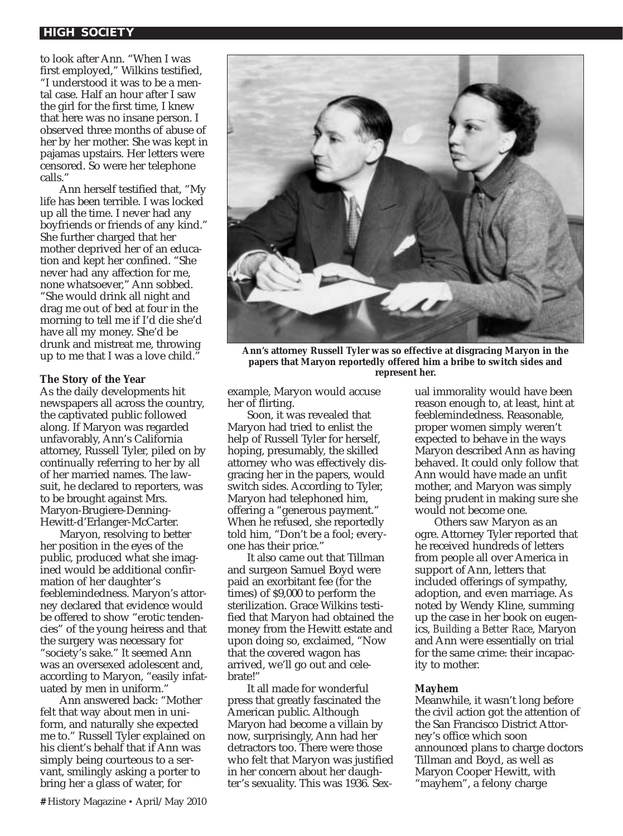## **HIGH SOCIETY**

to look after Ann. "When I was first employed," Wilkins testified, "I understood it was to be a mental case. Half an hour after I saw the girl for the first time, I knew that here was no insane person. I observed three months of abuse of her by her mother. She was kept in pajamas upstairs. Her letters were censored. So were her telephone calls."

Ann herself testified that, "My life has been terrible. I was locked up all the time. I never had any boyfriends or friends of any kind." She further charged that her mother deprived her of an education and kept her confined. "She never had any affection for me, none whatsoever," Ann sobbed. "She would drink all night and drag me out of bed at four in the morning to tell me if I'd die she'd have all my money. She'd be drunk and mistreat me, throwing up to me that I was a love child."

## **The Story of the Year**

As the daily developments hit newspapers all across the country, the captivated public followed along. If Maryon was regarded unfavorably, Ann's California attorney, Russell Tyler, piled on by continually referring to her by all of her married names. The lawsuit, he declared to reporters, was to be brought against Mrs. Maryon-Brugiere-Denning-Hewitt-d'Erlanger-McCarter.

Maryon, resolving to better her position in the eyes of the public, produced what she imagined would be additional confirmation of her daughter's feeblemindedness. Maryon's attorney declared that evidence would be offered to show "erotic tendencies" of the young heiress and that the surgery was necessary for "society's sake." It seemed Ann was an oversexed adolescent and, according to Maryon, "easily infatuated by men in uniform."

Ann answered back: "Mother felt that way about men in uniform, and naturally she expected me to." Russell Tyler explained on his client's behalf that if Ann was simply being courteous to a servant, smilingly asking a porter to bring her a glass of water, for



**Ann's attorney Russell Tyler was so effective at disgracing Maryon in the papers that Maryon reportedly offered him a bribe to switch sides and represent her.**

example, Maryon would accuse her of flirting.

Soon, it was revealed that Maryon had tried to enlist the help of Russell Tyler for herself, hoping, presumably, the skilled attorney who was effectively disgracing her in the papers, would switch sides. According to Tyler, Maryon had telephoned him, offering a "generous payment." When he refused, she reportedly told him, "Don't be a fool; everyone has their price."

It also came out that Tillman and surgeon Samuel Boyd were paid an exorbitant fee (for the times) of \$9,000 to perform the sterilization. Grace Wilkins testified that Maryon had obtained the money from the Hewitt estate and upon doing so, exclaimed, "Now that the covered wagon has arrived, we'll go out and celebrate!"

It all made for wonderful press that greatly fascinated the American public. Although Maryon had become a villain by now, surprisingly, Ann had her detractors too. There were those who felt that Maryon was justified in her concern about her daughter's sexuality. This was 1936. Sexual immorality would have been reason enough to, at least, hint at feeblemindedness. Reasonable, proper women simply weren't expected to behave in the ways Maryon described Ann as having behaved. It could only follow that Ann would have made an unfit mother, and Maryon was simply being prudent in making sure she would not become one.

Others saw Maryon as an ogre. Attorney Tyler reported that he received hundreds of letters from people all over America in support of Ann, letters that included offerings of sympathy, adoption, and even marriage. As noted by Wendy Kline, summing up the case in her book on eugenics, *Building a Better Race*, Maryon and Ann were essentially on trial for the same crime: their incapacity to mother.

#### **Mayhem**

Meanwhile, it wasn't long before the civil action got the attention of the San Francisco District Attorney's office which soon announced plans to charge doctors Tillman and Boyd, as well as Maryon Cooper Hewitt, with "mayhem", a felony charge